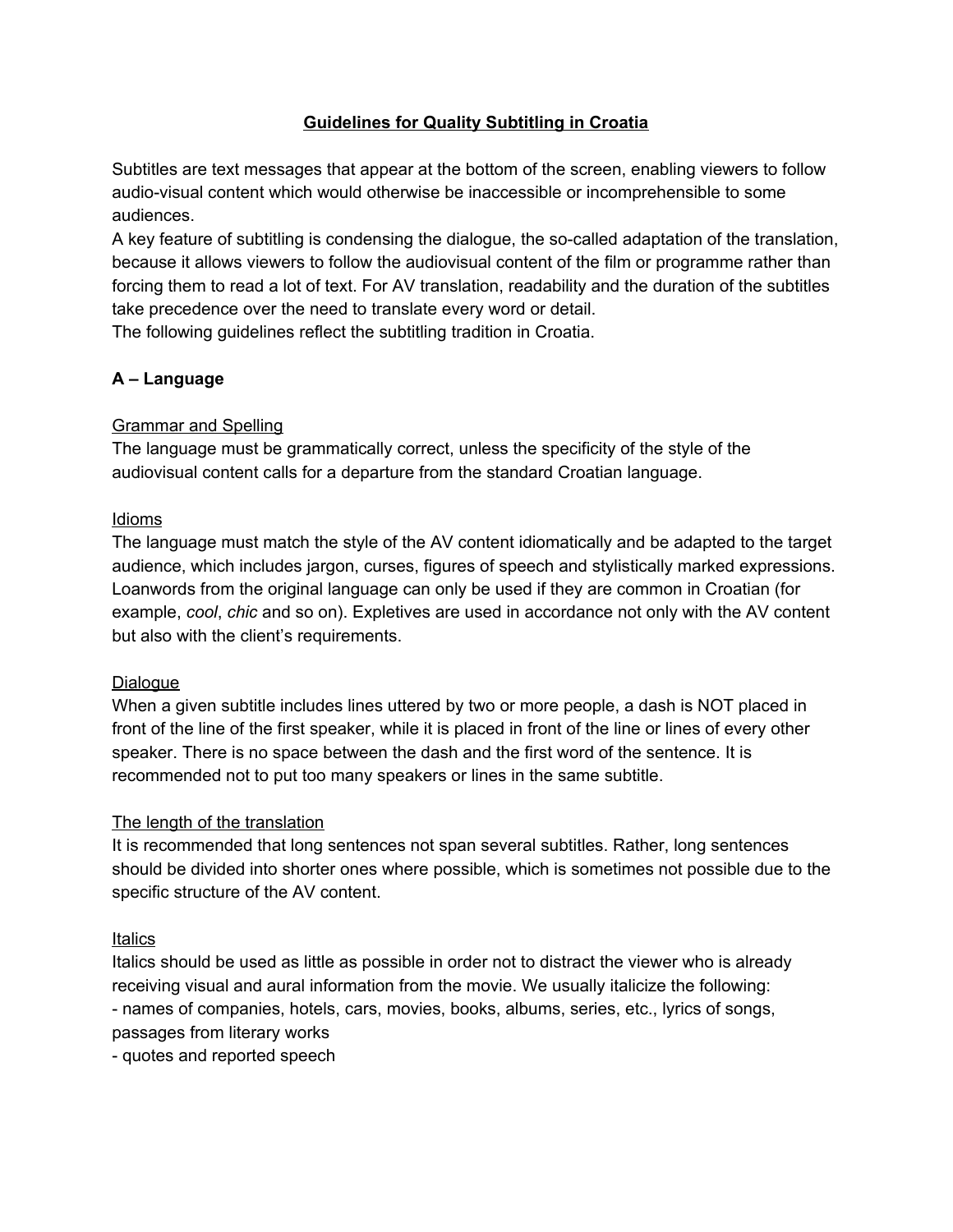## **Guidelines for Quality Subtitling in Croatia**

Subtitles are text messages that appear at the bottom of the screen, enabling viewers to follow audio-visual content which would otherwise be inaccessible or incomprehensible to some audiences.

A key feature of subtitling is condensing the dialogue, the so-called adaptation of the translation, because it allows viewers to follow the audiovisual content of the film or programme rather than forcing them to read a lot of text. For AV translation, readability and the duration of the subtitles take precedence over the need to translate every word or detail. The following guidelines reflect the subtitling tradition in Croatia.

## **A – Language**

### Grammar and Spelling

The language must be grammatically correct, unless the specificity of the style of the audiovisual content calls for a departure from the standard Croatian language.

### Idioms

The language must match the style of the AV content idiomatically and be adapted to the target audience, which includes jargon, curses, figures of speech and stylistically marked expressions. Loanwords from the original language can only be used if they are common in Croatian (for example, *cool*, *chic* and so on). Expletives are used in accordance not only with the AV content but also with the client's requirements.

### Dialogue

When a given subtitle includes lines uttered by two or more people, a dash is NOT placed in front of the line of the first speaker, while it is placed in front of the line or lines of every other speaker. There is no space between the dash and the first word of the sentence. It is recommended not to put too many speakers or lines in the same subtitle.

### The length of the translation

It is recommended that long sentences not span several subtitles. Rather, long sentences should be divided into shorter ones where possible, which is sometimes not possible due to the specific structure of the AV content.

### **Italics**

Italics should be used as little as possible in order not to distract the viewer who is already receiving visual and aural information from the movie. We usually italicize the following: - names of companies, hotels, cars, movies, books, albums, series, etc., lyrics of songs, passages from literary works

- quotes and reported speech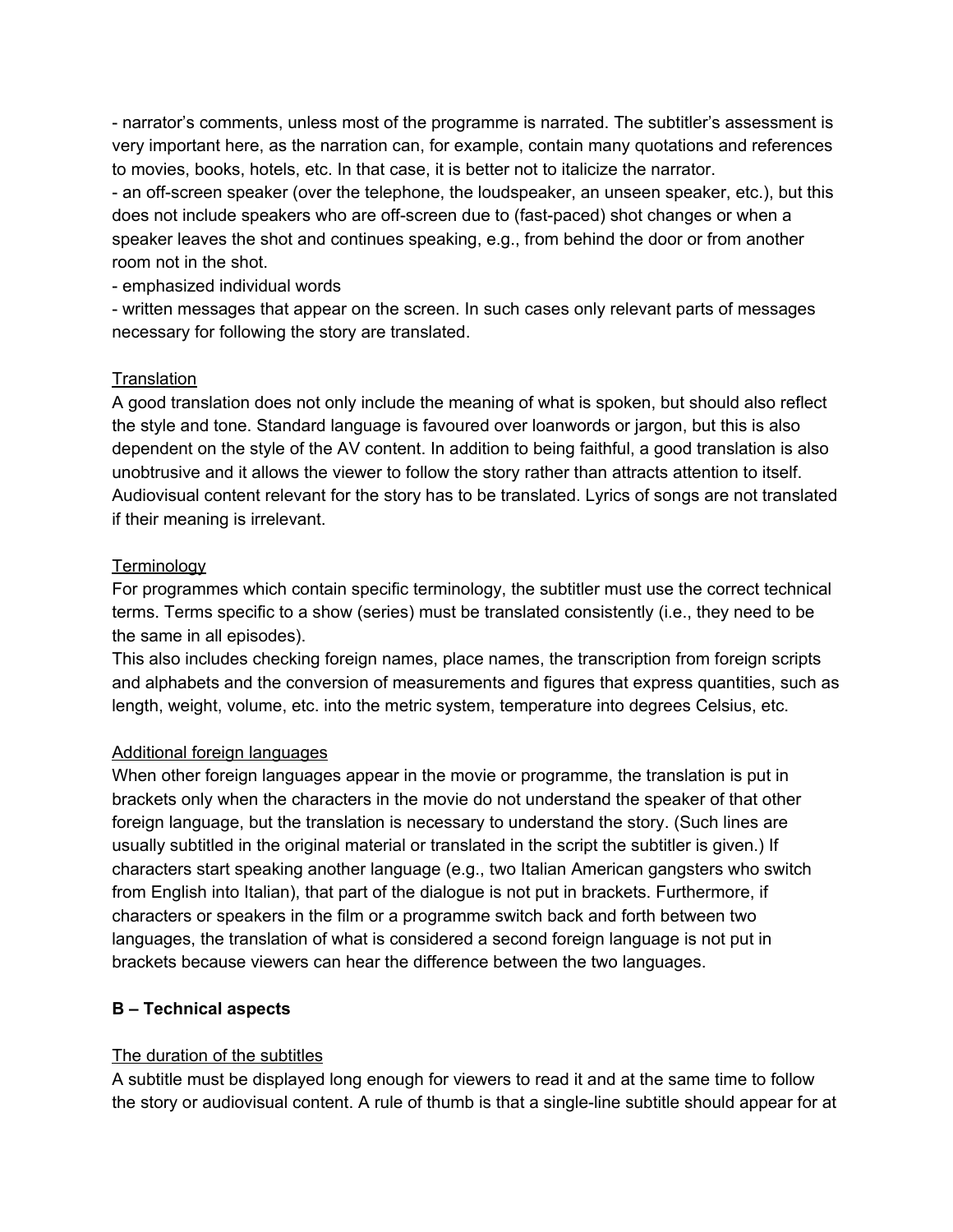- narrator's comments, unless most of the programme is narrated. The subtitler's assessment is very important here, as the narration can, for example, contain many quotations and references to movies, books, hotels, etc. In that case, it is better not to italicize the narrator.

- an off-screen speaker (over the telephone, the loudspeaker, an unseen speaker, etc.), but this does not include speakers who are off-screen due to (fast-paced) shot changes or when a speaker leaves the shot and continues speaking, e.g., from behind the door or from another room not in the shot.

### - emphasized individual words

- written messages that appear on the screen. In such cases only relevant parts of messages necessary for following the story are translated.

## **Translation**

A good translation does not only include the meaning of what is spoken, but should also reflect the style and tone. Standard language is favoured over loanwords or jargon, but this is also dependent on the style of the AV content. In addition to being faithful, a good translation is also unobtrusive and it allows the viewer to follow the story rather than attracts attention to itself. Audiovisual content relevant for the story has to be translated. Lyrics of songs are not translated if their meaning is irrelevant.

## **Terminology**

For programmes which contain specific terminology, the subtitler must use the correct technical terms. Terms specific to a show (series) must be translated consistently (i.e., they need to be the same in all episodes).

This also includes checking foreign names, place names, the transcription from foreign scripts and alphabets and the conversion of measurements and figures that express quantities, such as length, weight, volume, etc. into the metric system, temperature into degrees Celsius, etc.

# Additional foreign languages

When other foreign languages appear in the movie or programme, the translation is put in brackets only when the characters in the movie do not understand the speaker of that other foreign language, but the translation is necessary to understand the story. (Such lines are usually subtitled in the original material or translated in the script the subtitler is given.) If characters start speaking another language (e.g., two Italian American gangsters who switch from English into Italian), that part of the dialogue is not put in brackets. Furthermore, if characters or speakers in the film or a programme switch back and forth between two languages, the translation of what is considered a second foreign language is not put in brackets because viewers can hear the difference between the two languages.

# **B – Technical aspects**

# The duration of the subtitles

A subtitle must be displayed long enough for viewers to read it and at the same time to follow the story or audiovisual content. A rule of thumb is that a single-line subtitle should appear for at